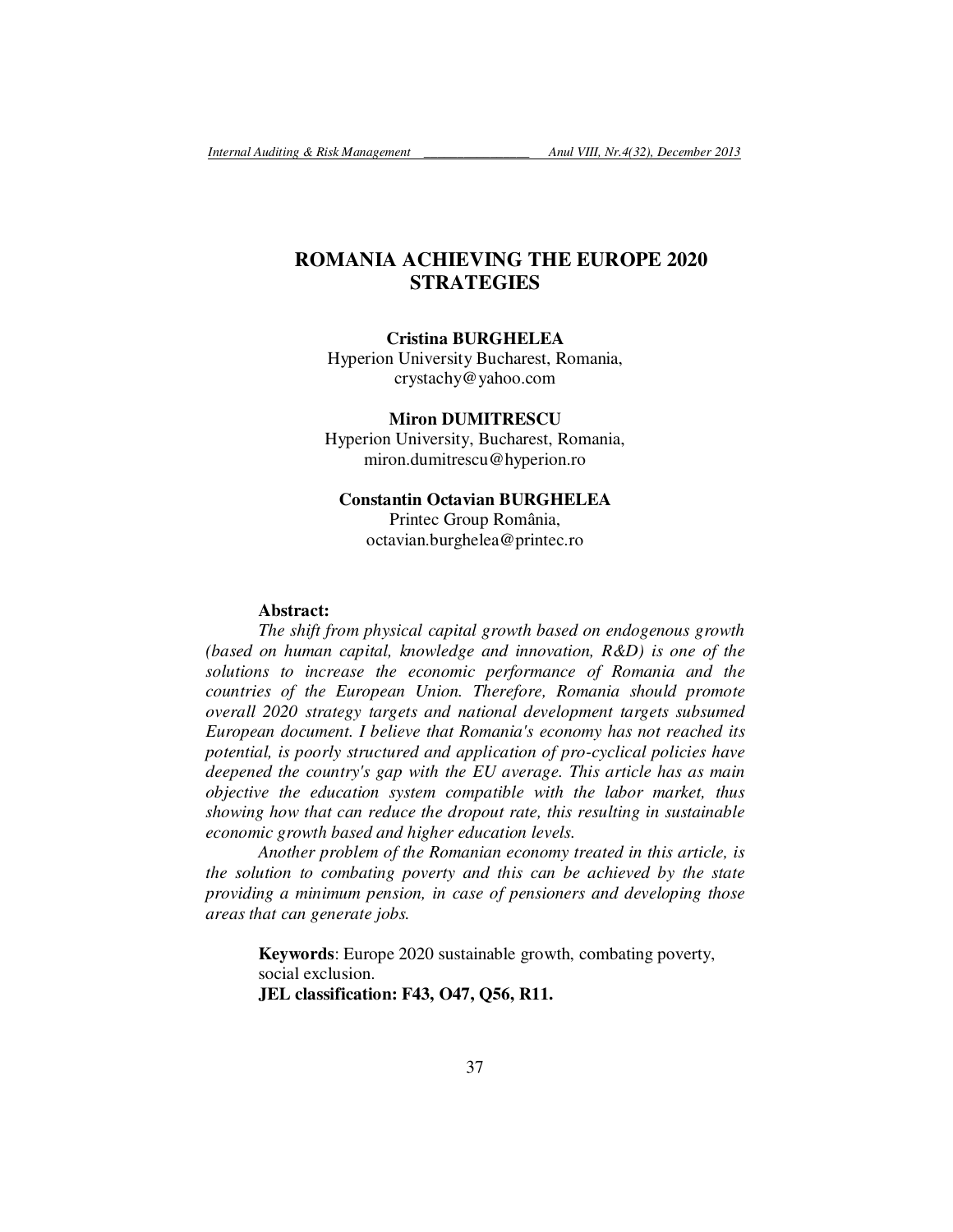# **ROMANIA ACHIEVING THE EUROPE 2020 STRATEGIES**

# **Cristina BURGHELEA**

Hyperion University Bucharest, Romania, crystachy@yahoo.com

**Miron DUMITRESCU**  Hyperion University, Bucharest, Romania, miron.dumitrescu@hyperion.ro

# **Constantin Octavian BURGHELEA**  Printec Group România, octavian.burghelea@printec.ro

## **Abstract:**

*The shift from physical capital growth based on endogenous growth (based on human capital, knowledge and innovation, R&D) is one of the solutions to increase the economic performance of Romania and the countries of the European Union. Therefore, Romania should promote overall 2020 strategy targets and national development targets subsumed European document. I believe that Romania's economy has not reached its potential, is poorly structured and application of pro-cyclical policies have deepened the country's gap with the EU average. This article has as main objective the education system compatible with the labor market, thus showing how that can reduce the dropout rate, this resulting in sustainable economic growth based and higher education levels.* 

*Another problem of the Romanian economy treated in this article, is the solution to combating poverty and this can be achieved by the state providing a minimum pension, in case of pensioners and developing those areas that can generate jobs.* 

**Keywords**: Europe 2020 sustainable growth, combating poverty, social exclusion. **JEL classification: F43, O47, Q56, R11.**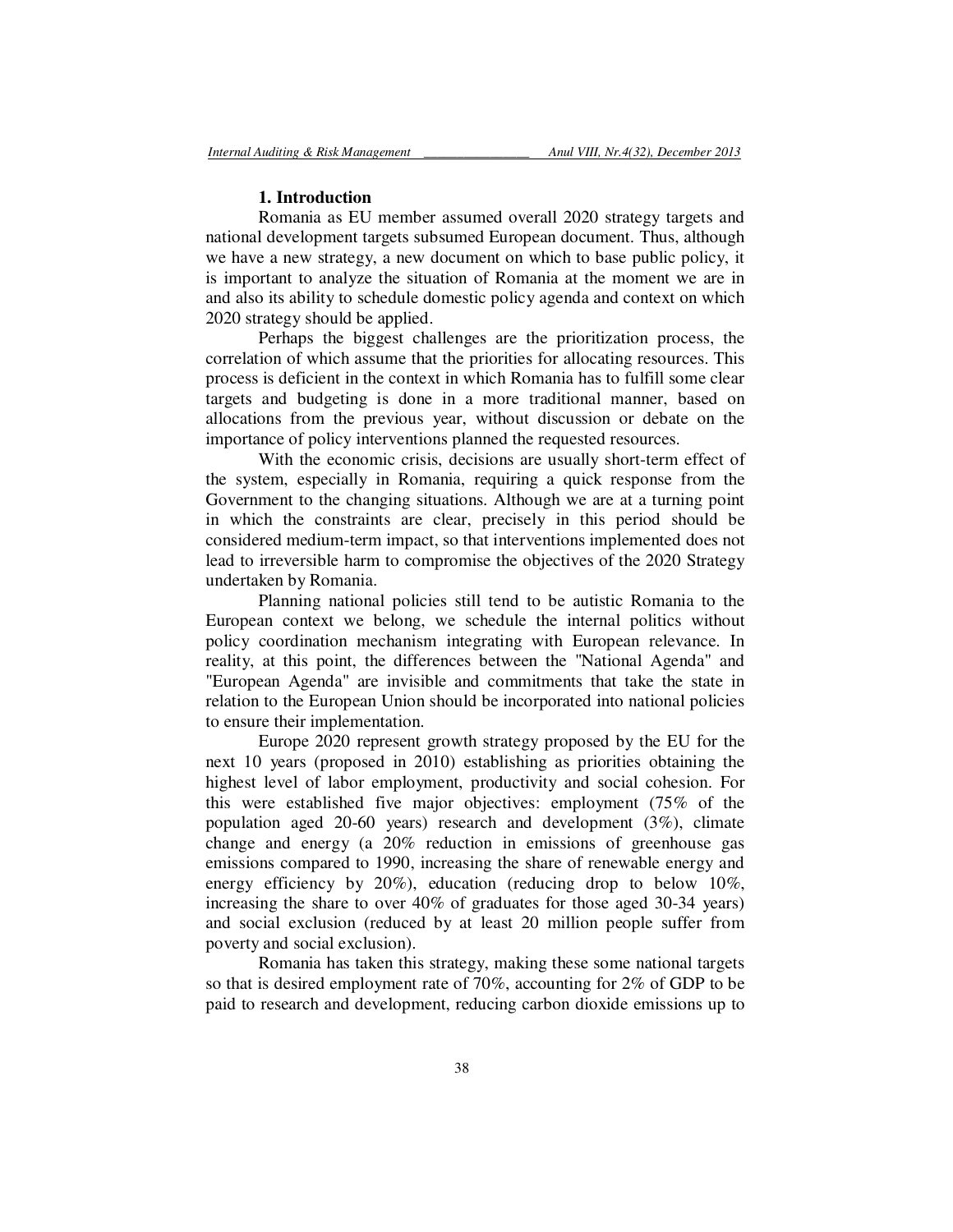### **1. Introduction**

Romania as EU member assumed overall 2020 strategy targets and national development targets subsumed European document. Thus, although we have a new strategy, a new document on which to base public policy, it is important to analyze the situation of Romania at the moment we are in and also its ability to schedule domestic policy agenda and context on which 2020 strategy should be applied.

Perhaps the biggest challenges are the prioritization process, the correlation of which assume that the priorities for allocating resources. This process is deficient in the context in which Romania has to fulfill some clear targets and budgeting is done in a more traditional manner, based on allocations from the previous year, without discussion or debate on the importance of policy interventions planned the requested resources.

With the economic crisis, decisions are usually short-term effect of the system, especially in Romania, requiring a quick response from the Government to the changing situations. Although we are at a turning point in which the constraints are clear, precisely in this period should be considered medium-term impact, so that interventions implemented does not lead to irreversible harm to compromise the objectives of the 2020 Strategy undertaken by Romania.

Planning national policies still tend to be autistic Romania to the European context we belong, we schedule the internal politics without policy coordination mechanism integrating with European relevance. In reality, at this point, the differences between the "National Agenda" and "European Agenda" are invisible and commitments that take the state in relation to the European Union should be incorporated into national policies to ensure their implementation.

Europe 2020 represent growth strategy proposed by the EU for the next 10 years (proposed in 2010) establishing as priorities obtaining the highest level of labor employment, productivity and social cohesion. For this were established five major objectives: employment (75% of the population aged 20-60 years) research and development (3%), climate change and energy (a 20% reduction in emissions of greenhouse gas emissions compared to 1990, increasing the share of renewable energy and energy efficiency by 20%), education (reducing drop to below 10%, increasing the share to over 40% of graduates for those aged 30-34 years) and social exclusion (reduced by at least 20 million people suffer from poverty and social exclusion).

Romania has taken this strategy, making these some national targets so that is desired employment rate of 70%, accounting for 2% of GDP to be paid to research and development, reducing carbon dioxide emissions up to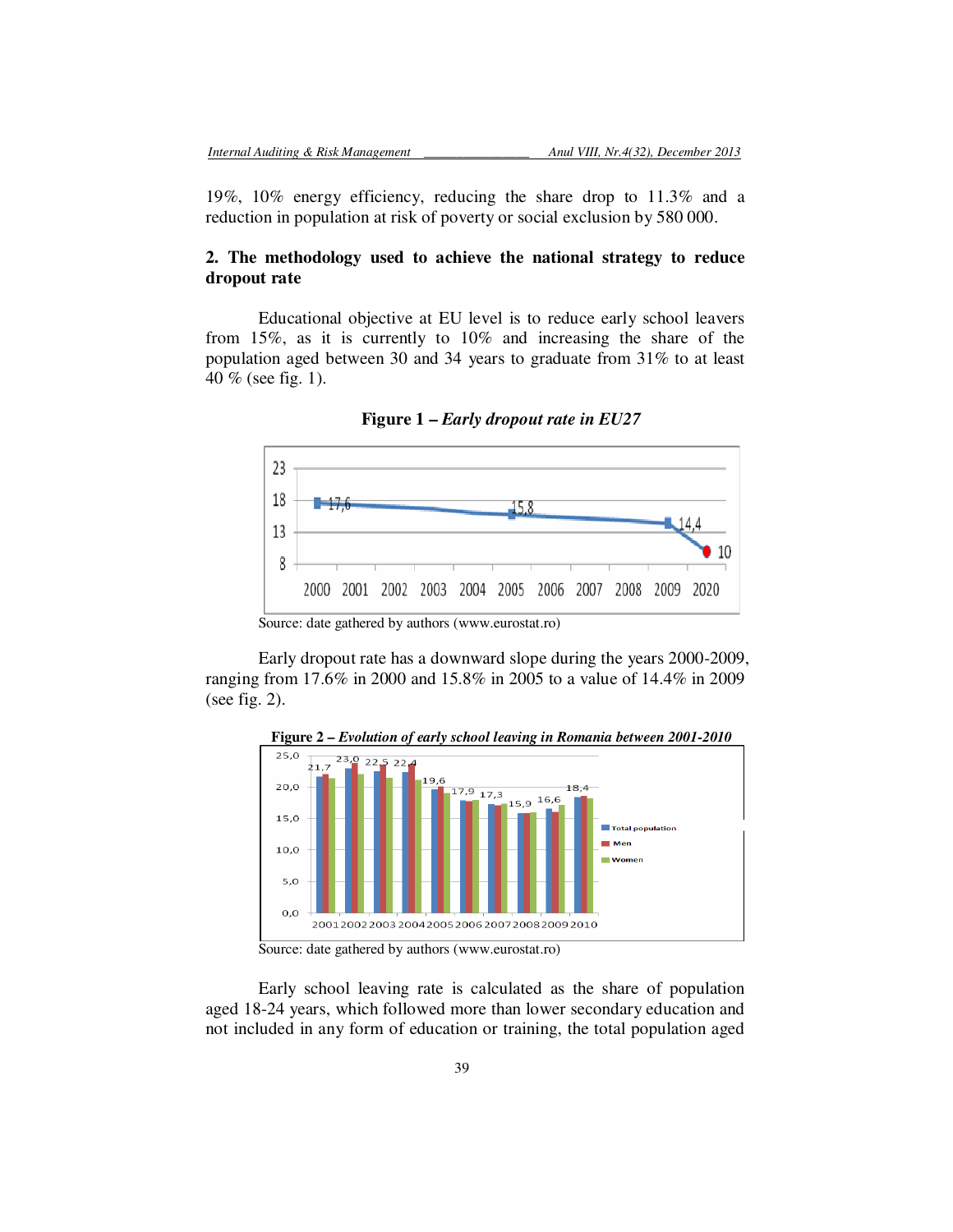19%, 10% energy efficiency, reducing the share drop to 11.3% and a reduction in population at risk of poverty or social exclusion by 580 000.

# **2. The methodology used to achieve the national strategy to reduce dropout rate**

Educational objective at EU level is to reduce early school leavers from 15%, as it is currently to 10% and increasing the share of the population aged between 30 and 34 years to graduate from 31% to at least 40 % (see fig. 1).



**Figure 1 –** *Early dropout rate in EU27* 

Early dropout rate has a downward slope during the years 2000-2009, ranging from 17.6% in 2000 and 15.8% in 2005 to a value of 14.4% in 2009 (see fig. 2).



**Figure 2 –** *Evolution of early school leaving in Romania between 2001-2010* 

Early school leaving rate is calculated as the share of population aged 18-24 years, which followed more than lower secondary education and not included in any form of education or training, the total population aged

Source: date gathered by authors (www.eurostat.ro)

Source: date gathered by authors (www.eurostat.ro)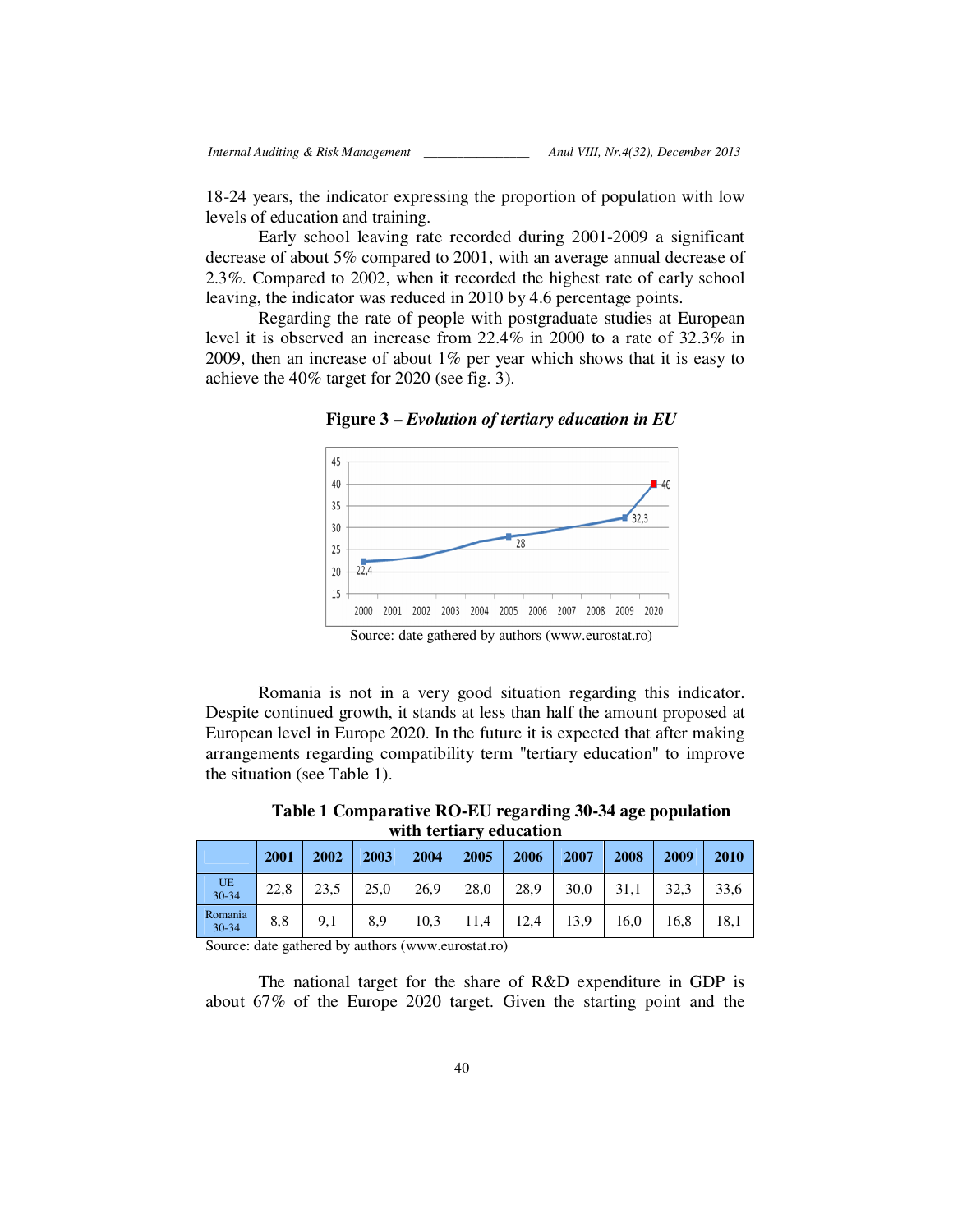18-24 years, the indicator expressing the proportion of population with low levels of education and training.

Early school leaving rate recorded during 2001-2009 a significant decrease of about 5% compared to 2001, with an average annual decrease of 2.3%. Compared to 2002, when it recorded the highest rate of early school leaving, the indicator was reduced in 2010 by 4.6 percentage points.

Regarding the rate of people with postgraduate studies at European level it is observed an increase from 22.4% in 2000 to a rate of 32.3% in 2009, then an increase of about 1% per year which shows that it is easy to achieve the 40% target for 2020 (see fig. 3).



**Figure 3 –** *Evolution of tertiary education in EU* 

Source: date gathered by authors (www.eurostat.ro)

Romania is not in a very good situation regarding this indicator. Despite continued growth, it stands at less than half the amount proposed at European level in Europe 2020. In the future it is expected that after making arrangements regarding compatibility term "tertiary education" to improve the situation (see Table 1).

**Table 1 Comparative RO-EU regarding 30-34 age population with tertiary education** 

|                      | 2001 | 2002 | 2003 | 2004 | 2005 | 2006 | 2007 | 2008 | 2009 | 2010 |
|----------------------|------|------|------|------|------|------|------|------|------|------|
| UE<br>30-34          | 22.8 | 23.5 | 25,0 | 26,9 | 28,0 | 28,9 | 30,0 | 31.1 | 32,3 | 33,6 |
| Romania<br>$30 - 34$ | 8,8  | 9,1  | 8,9  | 10,3 | 11.4 | 12,4 | 13,9 | 16,0 | 16,8 | 18,1 |

Source: date gathered by authors (www.eurostat.ro)

The national target for the share of R&D expenditure in GDP is about 67% of the Europe 2020 target. Given the starting point and the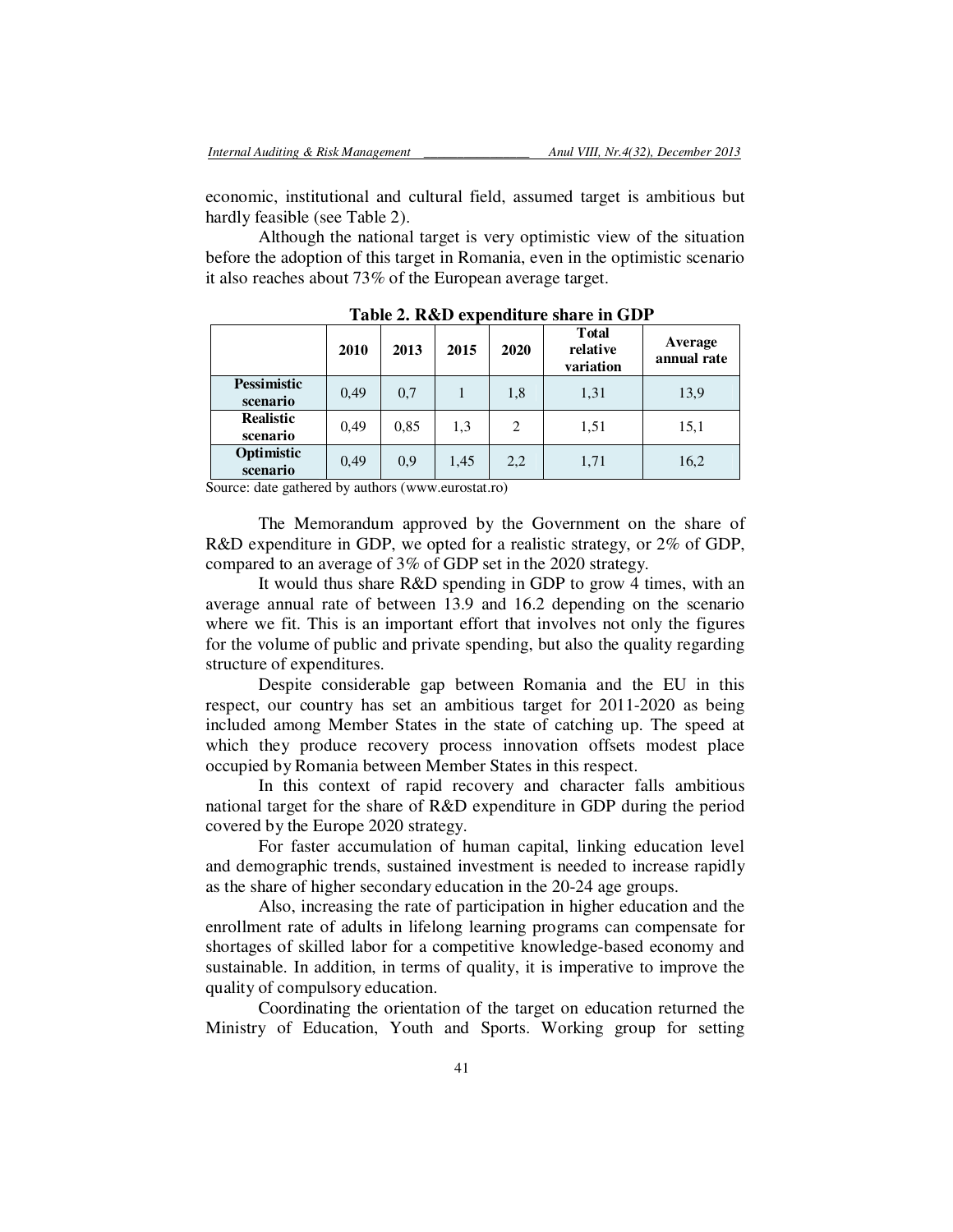economic, institutional and cultural field, assumed target is ambitious but hardly feasible (see Table 2).

Although the national target is very optimistic view of the situation before the adoption of this target in Romania, even in the optimistic scenario it also reaches about 73% of the European average target.

|                                | 2010 | 2013 | 2015 | 2020 | <b>T</b> otal<br>relative<br>variation | Average<br>annual rate |
|--------------------------------|------|------|------|------|----------------------------------------|------------------------|
| <b>Pessimistic</b><br>scenario | 0,49 | 0,7  |      | 1,8  | 1,31                                   | 13,9                   |
| <b>Realistic</b><br>scenario   | 0,49 | 0.85 | 1,3  | 2    | 1,51                                   | 15,1                   |
| Optimistic<br>scenario         | 0.49 | 0,9  | 1,45 | 2,2  | 1,71                                   | 16,2                   |

**Table 2. R&D expenditure share in GDP** 

Source: date gathered by authors (www.eurostat.ro)

The Memorandum approved by the Government on the share of R&D expenditure in GDP, we opted for a realistic strategy, or 2% of GDP, compared to an average of 3% of GDP set in the 2020 strategy.

It would thus share R&D spending in GDP to grow 4 times, with an average annual rate of between 13.9 and 16.2 depending on the scenario where we fit. This is an important effort that involves not only the figures for the volume of public and private spending, but also the quality regarding structure of expenditures.

Despite considerable gap between Romania and the EU in this respect, our country has set an ambitious target for 2011-2020 as being included among Member States in the state of catching up. The speed at which they produce recovery process innovation offsets modest place occupied by Romania between Member States in this respect.

In this context of rapid recovery and character falls ambitious national target for the share of R&D expenditure in GDP during the period covered by the Europe 2020 strategy.

For faster accumulation of human capital, linking education level and demographic trends, sustained investment is needed to increase rapidly as the share of higher secondary education in the 20-24 age groups.

Also, increasing the rate of participation in higher education and the enrollment rate of adults in lifelong learning programs can compensate for shortages of skilled labor for a competitive knowledge-based economy and sustainable. In addition, in terms of quality, it is imperative to improve the quality of compulsory education.

Coordinating the orientation of the target on education returned the Ministry of Education, Youth and Sports. Working group for setting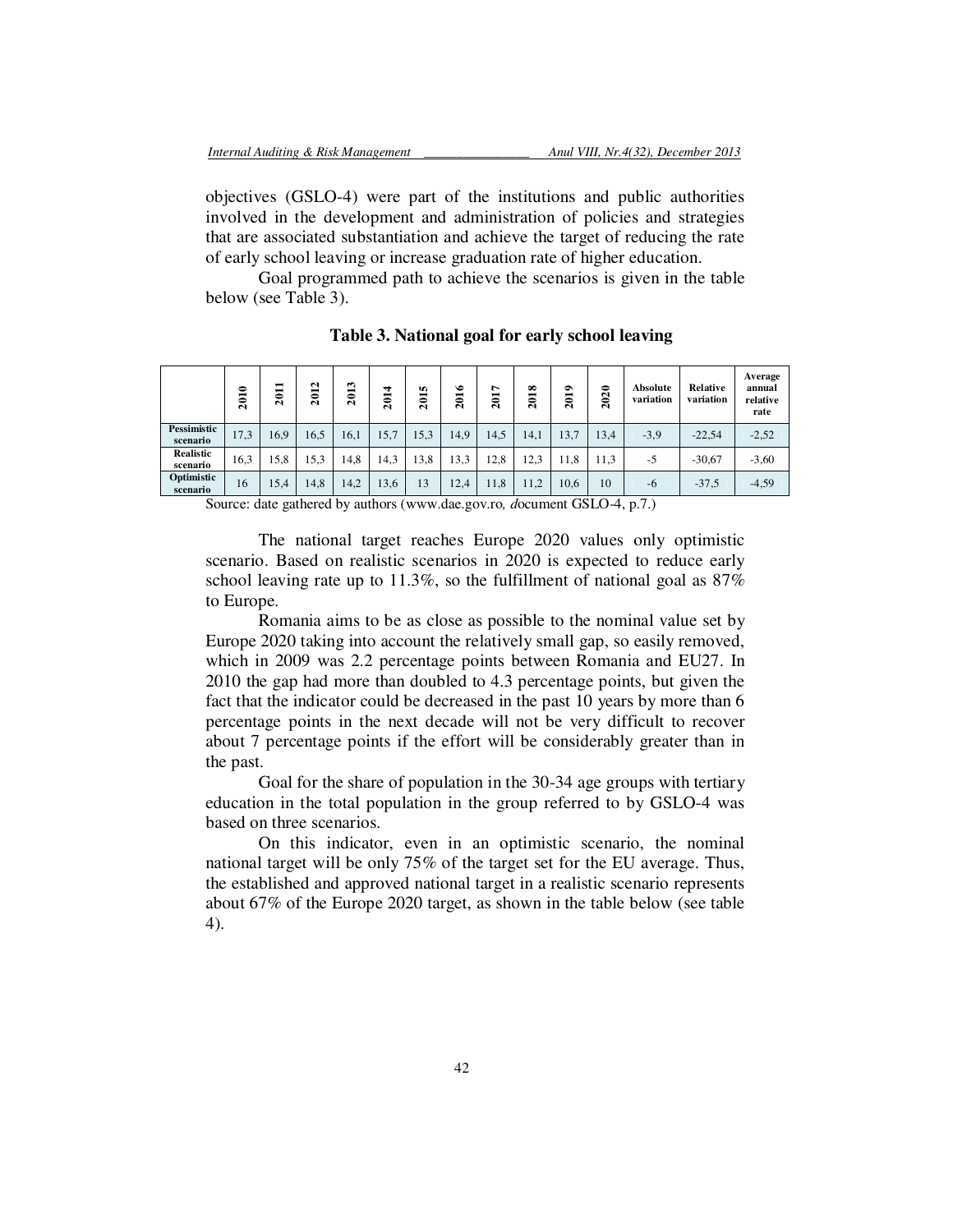objectives (GSLO-4) were part of the institutions and public authorities involved in the development and administration of policies and strategies that are associated substantiation and achieve the target of reducing the rate of early school leaving or increase graduation rate of higher education.

Goal programmed path to achieve the scenarios is given in the table below (see Table 3).

|                              | 2010 | −<br>Ξ<br>$\bar{\mathbf{c}}$ | $\mathbf{\Omega}$<br>5<br>$\bar{~}$ | 2013 | 4<br>ຮ<br>$\bar{\mathbf{c}}$ | 5<br>−<br>۵<br>$\bar{\mathbf{N}}$ | ٠<br>201 | ∼<br>−<br>$\overline{\mathbf{a}}$ | ∞<br>ន្ត | $\bullet$<br>201 | 0<br>$\mathbf{\sim}$<br>0<br>$\mathbf{\Omega}$ | Absolute<br>variation | Relative<br>variation | Average<br>annual<br>relative<br>rate |
|------------------------------|------|------------------------------|-------------------------------------|------|------------------------------|-----------------------------------|----------|-----------------------------------|----------|------------------|------------------------------------------------|-----------------------|-----------------------|---------------------------------------|
| Pessimistic<br>scenario      | 17,3 | 16,9                         | 16,5                                | 16.1 | 15,7                         | 15.3                              | 14,9     | 14,5                              | 14,1     | 13,7             | 13.4                                           | $-3.9$                | $-22,54$              | $-2,52$                               |
| <b>Realistic</b><br>scenario | 16,3 | 15,8                         | 15,3                                | 14.8 | 14,3                         | 13,8                              | 13,3     | 12.8                              | 12.3     | 11,8             | 11,3                                           | $-5$                  | $-30,67$              | $-3,60$                               |
| Optimistic<br>scenario       | 16   | 15,4                         | 14,8                                | 14,2 | 13,6                         | 13                                | 12,4     | 11,8                              | 11,2     | 10,6             | 10                                             | -6                    | $-37,5$               | $-4,59$                               |

**Table 3. National goal for early school leaving** 

Source: date gathered by authors (www.dae.gov.ro*, d*ocument GSLO-4, p.7.)

The national target reaches Europe 2020 values only optimistic scenario. Based on realistic scenarios in 2020 is expected to reduce early school leaving rate up to 11.3%, so the fulfillment of national goal as 87% to Europe.

Romania aims to be as close as possible to the nominal value set by Europe 2020 taking into account the relatively small gap, so easily removed, which in 2009 was 2.2 percentage points between Romania and EU27. In 2010 the gap had more than doubled to 4.3 percentage points, but given the fact that the indicator could be decreased in the past 10 years by more than 6 percentage points in the next decade will not be very difficult to recover about 7 percentage points if the effort will be considerably greater than in the past.

Goal for the share of population in the 30-34 age groups with tertiary education in the total population in the group referred to by GSLO-4 was based on three scenarios.

On this indicator, even in an optimistic scenario, the nominal national target will be only 75% of the target set for the EU average. Thus, the established and approved national target in a realistic scenario represents about 67% of the Europe 2020 target, as shown in the table below (see table 4).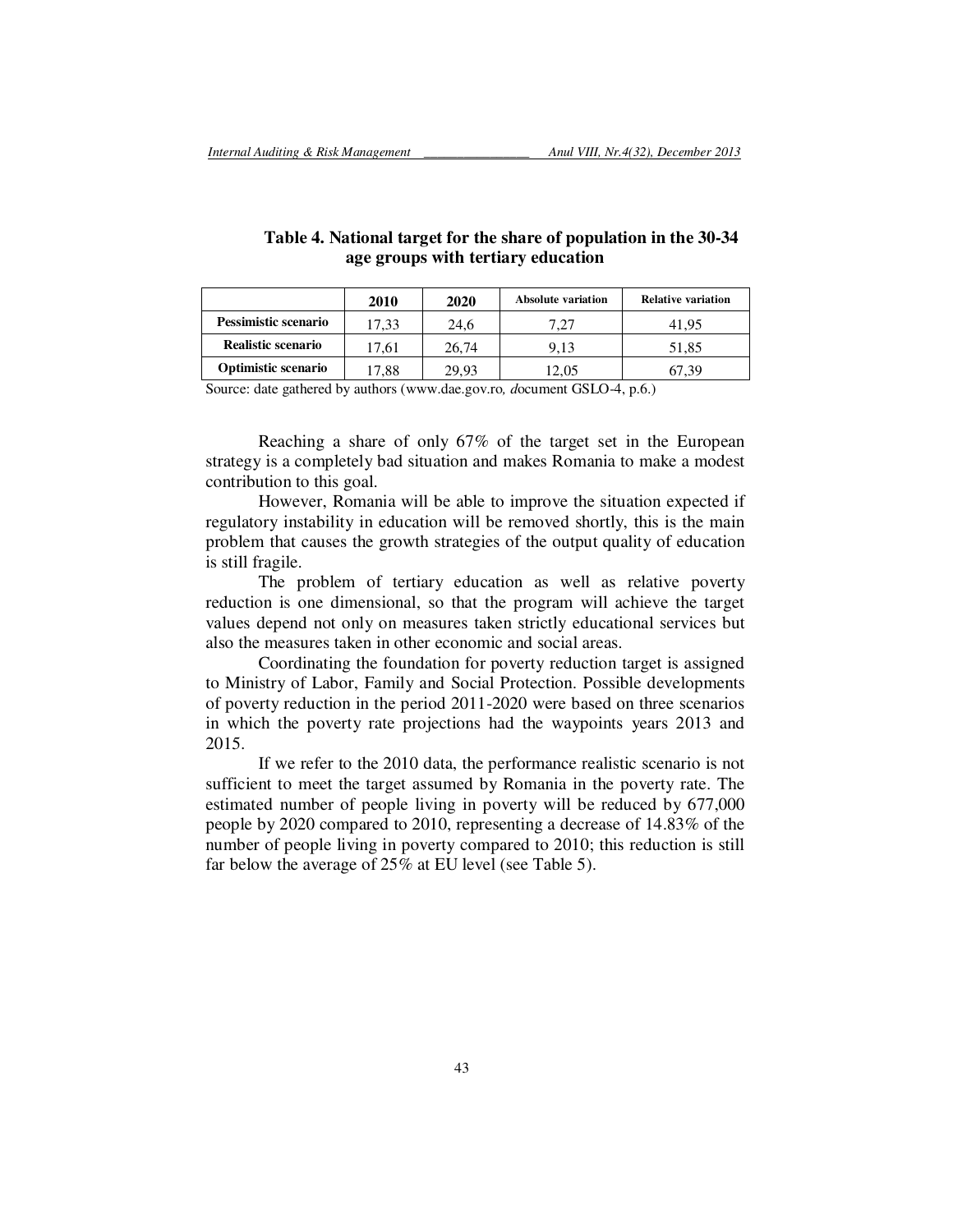|                             | 2010  | 2020  | <b>Absolute variation</b> | <b>Relative variation</b> |
|-----------------------------|-------|-------|---------------------------|---------------------------|
| <b>Pessimistic scenario</b> | 17.33 | 24.6  |                           | 41.95                     |
| Realistic scenario          | 17.61 | 26.74 | 9.13                      | 51.85                     |
| <b>Optimistic scenario</b>  | 17.88 | 29.93 | 12.05                     | 67.39                     |

## **Table 4. National target for the share of population in the 30-34 age groups with tertiary education**

Source: date gathered by authors (www.dae.gov.ro*, d*ocument GSLO-4, p.6.)

Reaching a share of only 67% of the target set in the European strategy is a completely bad situation and makes Romania to make a modest contribution to this goal.

However, Romania will be able to improve the situation expected if regulatory instability in education will be removed shortly, this is the main problem that causes the growth strategies of the output quality of education is still fragile.

The problem of tertiary education as well as relative poverty reduction is one dimensional, so that the program will achieve the target values depend not only on measures taken strictly educational services but also the measures taken in other economic and social areas.

Coordinating the foundation for poverty reduction target is assigned to Ministry of Labor, Family and Social Protection. Possible developments of poverty reduction in the period 2011-2020 were based on three scenarios in which the poverty rate projections had the waypoints years 2013 and 2015.

If we refer to the 2010 data, the performance realistic scenario is not sufficient to meet the target assumed by Romania in the poverty rate. The estimated number of people living in poverty will be reduced by 677,000 people by 2020 compared to 2010, representing a decrease of 14.83% of the number of people living in poverty compared to 2010; this reduction is still far below the average of 25% at EU level (see Table 5).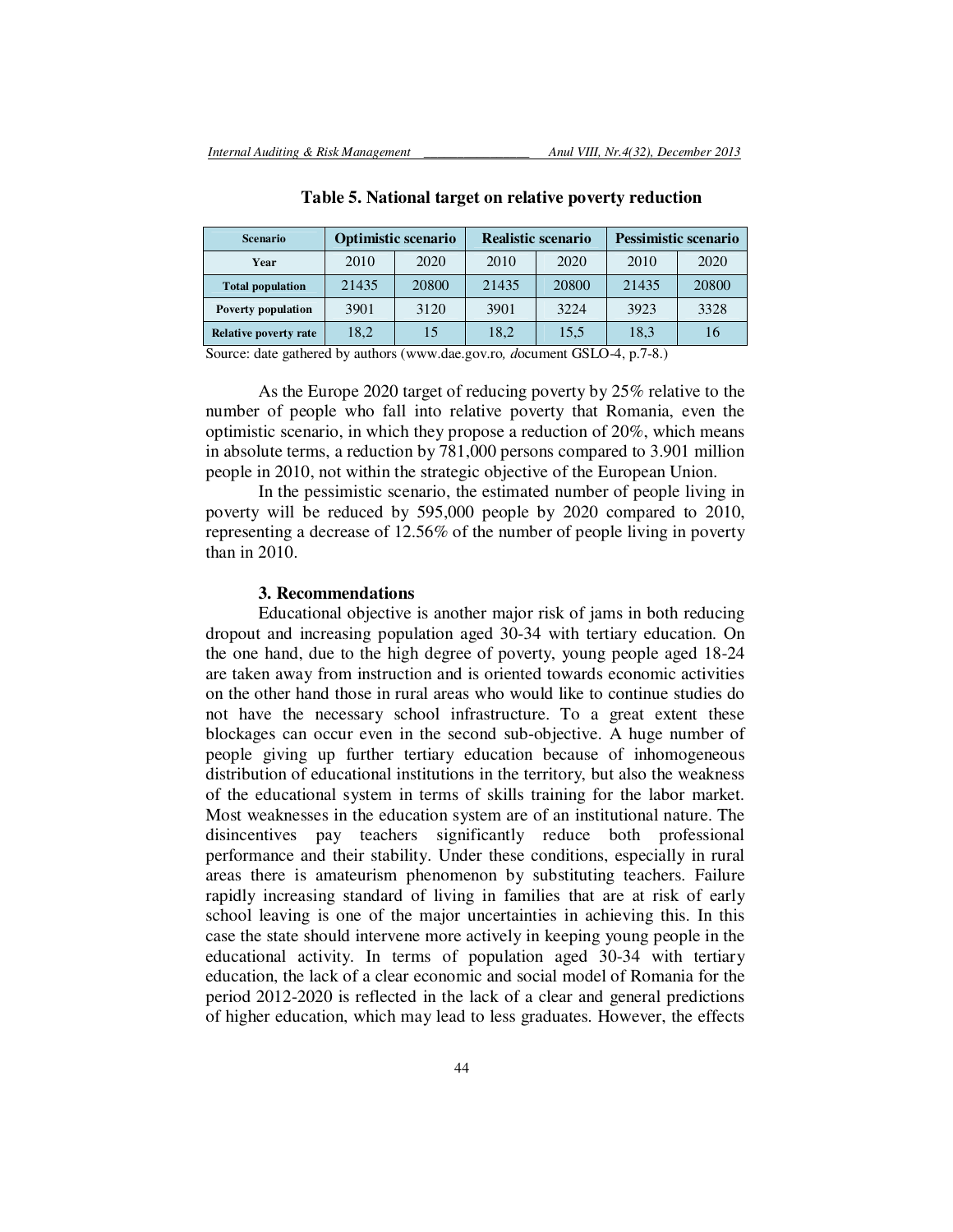| <b>Scenario</b>           |       | <b>Optimistic scenario</b> |       | <b>Realistic scenario</b> | <b>Pessimistic scenario</b> |       |  |
|---------------------------|-------|----------------------------|-------|---------------------------|-----------------------------|-------|--|
| Year                      | 2010  | 2020                       | 2010  | 2020                      | 2010                        | 2020  |  |
| <b>Total population</b>   | 21435 | 20800                      | 21435 | 20800                     | 21435                       | 20800 |  |
| <b>Poverty population</b> | 3901  | 3120                       | 3901  | 3224                      | 3923                        | 3328  |  |
| Relative poverty rate     | 18,2  | 15                         | 18.2  | 15,5                      | 18,3                        | 16    |  |

**Table 5. National target on relative poverty reduction** 

Source: date gathered by authors (www.dae.gov.ro*, d*ocument GSLO-4, p.7-8.)

As the Europe 2020 target of reducing poverty by 25% relative to the number of people who fall into relative poverty that Romania, even the optimistic scenario, in which they propose a reduction of 20%, which means in absolute terms, a reduction by 781,000 persons compared to 3.901 million people in 2010, not within the strategic objective of the European Union.

In the pessimistic scenario, the estimated number of people living in poverty will be reduced by 595,000 people by 2020 compared to 2010, representing a decrease of 12.56% of the number of people living in poverty than in 2010.

#### **3. Recommendations**

Educational objective is another major risk of jams in both reducing dropout and increasing population aged 30-34 with tertiary education. On the one hand, due to the high degree of poverty, young people aged 18-24 are taken away from instruction and is oriented towards economic activities on the other hand those in rural areas who would like to continue studies do not have the necessary school infrastructure. To a great extent these blockages can occur even in the second sub-objective. A huge number of people giving up further tertiary education because of inhomogeneous distribution of educational institutions in the territory, but also the weakness of the educational system in terms of skills training for the labor market. Most weaknesses in the education system are of an institutional nature. The disincentives pay teachers significantly reduce both professional performance and their stability. Under these conditions, especially in rural areas there is amateurism phenomenon by substituting teachers. Failure rapidly increasing standard of living in families that are at risk of early school leaving is one of the major uncertainties in achieving this. In this case the state should intervene more actively in keeping young people in the educational activity. In terms of population aged 30-34 with tertiary education, the lack of a clear economic and social model of Romania for the period 2012-2020 is reflected in the lack of a clear and general predictions of higher education, which may lead to less graduates. However, the effects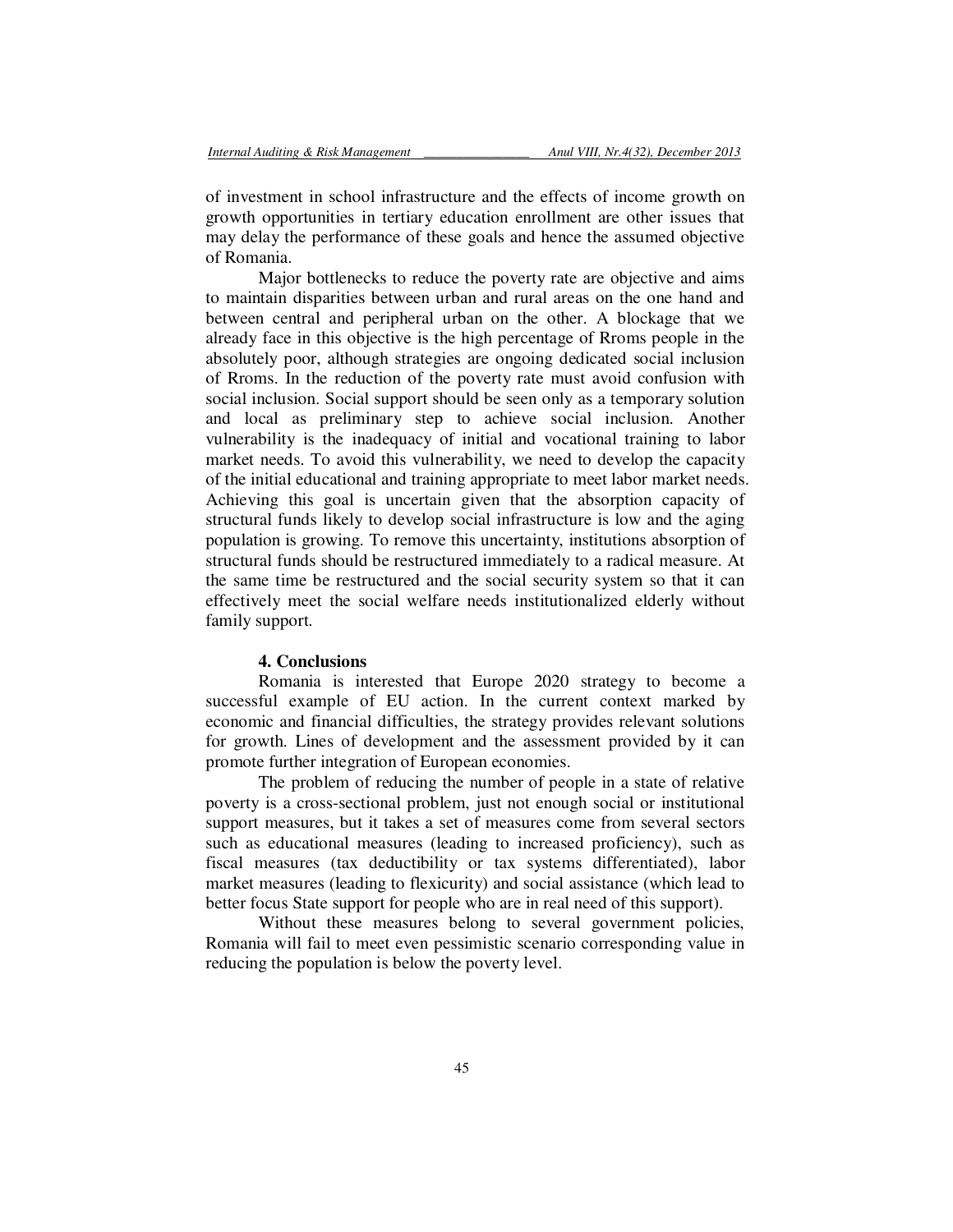of investment in school infrastructure and the effects of income growth on growth opportunities in tertiary education enrollment are other issues that may delay the performance of these goals and hence the assumed objective of Romania.

Major bottlenecks to reduce the poverty rate are objective and aims to maintain disparities between urban and rural areas on the one hand and between central and peripheral urban on the other. A blockage that we already face in this objective is the high percentage of Rroms people in the absolutely poor, although strategies are ongoing dedicated social inclusion of Rroms. In the reduction of the poverty rate must avoid confusion with social inclusion. Social support should be seen only as a temporary solution and local as preliminary step to achieve social inclusion. Another vulnerability is the inadequacy of initial and vocational training to labor market needs. To avoid this vulnerability, we need to develop the capacity of the initial educational and training appropriate to meet labor market needs. Achieving this goal is uncertain given that the absorption capacity of structural funds likely to develop social infrastructure is low and the aging population is growing. To remove this uncertainty, institutions absorption of structural funds should be restructured immediately to a radical measure. At the same time be restructured and the social security system so that it can effectively meet the social welfare needs institutionalized elderly without family support.

#### **4. Conclusions**

Romania is interested that Europe 2020 strategy to become a successful example of EU action. In the current context marked by economic and financial difficulties, the strategy provides relevant solutions for growth. Lines of development and the assessment provided by it can promote further integration of European economies.

The problem of reducing the number of people in a state of relative poverty is a cross-sectional problem, just not enough social or institutional support measures, but it takes a set of measures come from several sectors such as educational measures (leading to increased proficiency), such as fiscal measures (tax deductibility or tax systems differentiated), labor market measures (leading to flexicurity) and social assistance (which lead to better focus State support for people who are in real need of this support).

Without these measures belong to several government policies, Romania will fail to meet even pessimistic scenario corresponding value in reducing the population is below the poverty level.